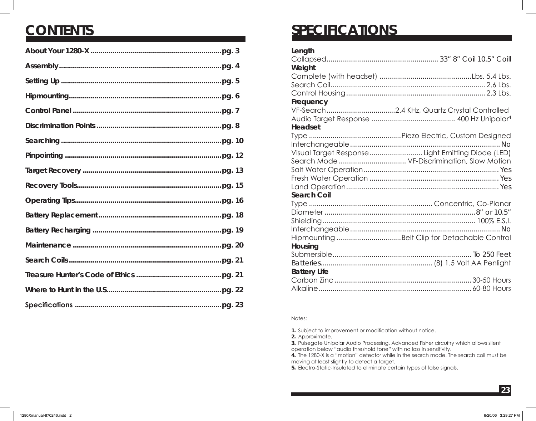## **CONTENTS**

## **SPECIFICATIONS**

| Length              |                                                    |
|---------------------|----------------------------------------------------|
|                     |                                                    |
| Weight              |                                                    |
|                     |                                                    |
|                     |                                                    |
|                     |                                                    |
| Frequency           |                                                    |
|                     |                                                    |
|                     |                                                    |
| Headset             |                                                    |
|                     |                                                    |
|                     |                                                    |
|                     | Visual Target Response  Light Emitting Diode (LED) |
|                     |                                                    |
|                     |                                                    |
|                     |                                                    |
|                     |                                                    |
| <b>Search Coil</b>  |                                                    |
|                     |                                                    |
|                     |                                                    |
|                     |                                                    |
|                     |                                                    |
|                     |                                                    |
| Housing             |                                                    |
|                     |                                                    |
|                     |                                                    |
| <b>Battery Life</b> |                                                    |
|                     |                                                    |
|                     |                                                    |

#### Notes:

**1.** Subject to improvement or modification without notice.

**2.** Approximate.

**3.** Pulsegate Unipolar Audio Processing. Advanced Fisher circuitry which allows silent operation below "audio threshold tone" with no loss in sensitivity.

**4.** The 1280-X is a "motion" detector while in the search mode. The search coil must be moving at least slightly to detect a target.

**5.** Electro-Static-Insulated to eliminate certain types of false signals.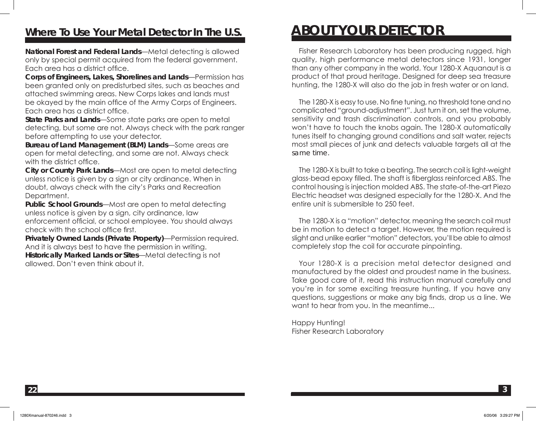### **Where To Use Your Metal Detector In The U.S.**

**National Forest and Federal Lands**—Metal detecting is allowed only by special permit acquired from the federal government. Each area has a district office.

**Corps of Engineers, Lakes, Shorelines and Lands**—Permission has been granted only on predisturbed sites, such as beaches and attached swimming areas. New Corps lakes and lands must be okayed by the main office of the Army Corps of Engineers. Each area has a district office.

**State Parks and Lands**—Some state parks are open to metal detecting, but some are not. Always check with the park ranger before attempting to use your detector.

**Bureau of Land Management (BLM) Lands**—Some areas are open for metal detecting, and some are not. Always check with the district office.

**City or County Park Lands**—Most are open to metal detecting unless notice is given by a sign or city ordinance. When in doubt, always check with the city's Parks and Recreation Department.

**Public School Grounds**—Most are open to metal detecting unless notice is given by a sign, city ordinance, law enforcement official, or school employee. You should always check with the school office first.

**Privately Owned Lands (Private Property)**—Permission required. And it is always best to have the permission in writing. **Historically Marked Lands or Sites**—Metal detecting is not allowed. Don't even think about it.

## **ABOUT YOUR DETECTOR**

 Fisher Research Laboratory has been producing rugged, high quality, high performance metal detectors since 1931, longer than any other company in the world. Your 1280-X Aquanaut is a product of that proud heritage. Designed for deep sea treasure hunting, the 1280-X will also do the job in fresh water or on land.

 The 1280-X is easy to use. No fine tuning, no threshold tone and no complicated "ground-adjustment". Just turn it on, set the volume, sensitivity and trash discrimination controls, and you probably won't have to touch the knobs again. The 1280-X automatically tunes itself to changing ground conditions and salt water, rejects most small pieces of junk and detects valuable targets all at the same time.

 The 1280-X is built to take a beating. The search coil is light-weight glass-bead epoxy filled. The shaft is fiberglass reinforced ABS. The control housing is injection molded ABS. The state-of-the-art Piezo Electric headset was designed especially for the 1280-X. And the entire unit is submersible to 250 feet.

 The 1280-X is a "motion" detector, meaning the search coil must be in motion to detect a target. However, the motion required is slight and unlike earlier "motion" detectors, you'll be able to almost completely stop the coil for accurate pinpointing.

 Your 1280-X is a precision metal detector designed and manufactured by the oldest and proudest name in the business. Take good care of it, read this instruction manual carefully and you're in for some exciting treasure hunting. If you have any questions, suggestions or make any big finds, drop us a line. We want to hear from you. In the meantime...

Happy Hunting! Fisher Research Laboratory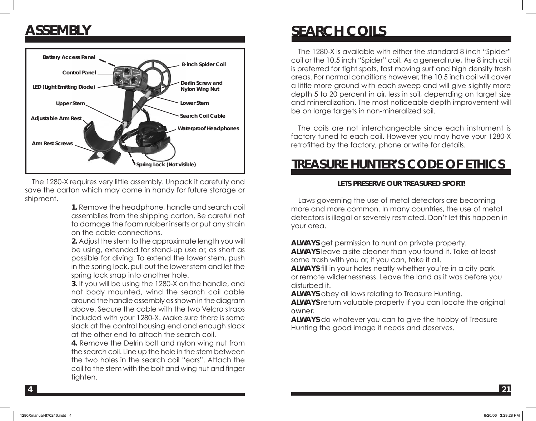### **ASSEMBLY**



 The 1280-X requires very little assembly. Unpack it carefully and save the carton which may come in handy for future storage or shipment.

> **1.** Remove the headphone, handle and search coil assemblies from the shipping carton. Be careful not to damage the foam rubber inserts or put any strain on the cable connections.

> **2.** Adjust the stem to the approximate length you will be using, extended for stand-up use or, as short as possible for diving. To extend the lower stem, push in the spring lock, pull out the lower stem and let the spring lock snap into another hole.

> **3.** If you will be using the 1280-X on the handle, and not body mounted, wind the search coil cable around the handle assembly as shown in the diagram above. Secure the cable with the two Velcro straps included with your 1280-X. Make sure there is some slack at the control housing end and enough slack at the other end to attach the search coil.

> **4.** Remove the Delrin bolt and nylon wing nut from the search coil. Line up the hole in the stem between the two holes in the search coil "ears". Attach the coil to the stem with the bolt and wing nut and finger tighten.

### **SEARCH COILS**

 The 1280-X is available with either the standard 8 inch "Spider" coil or the 10.5 inch "Spider" coil. As a general rule, the 8 inch coil is preferred for tight spots, fast moving surf and high density trash areas. For normal conditions however, the 10.5 inch coil will cover a little more ground with each sweep and will give slightly more depth 5 to 20 percent in air, less in soil, depending on target size and mineralization. The most noticeable depth improvement will be on large targets in non-mineralized soil.

 The coils are not interchangeable since each instrument is factory tuned to each coil. However you may have your 1280-X retrofitted by the factory, phone or write for details.

### **TREASURE HUNTER'S CODE OF ETHICS**

#### **LETS PRESERVE OUR TREASURED SPORT!**

 Laws governing the use of metal detectors are becoming more and more common. In many countries, the use of metal detectors is illegal or severely restricted. Don't let this happen in your area.

**ALWAYS** get permission to hunt on private property.

**ALWAYS** leave a site cleaner than you found it. Take at least some trash with you or, if you can, take it all.

**ALWAYS** fill in your holes neatly whether you're in a city park or remote wildernessness. Leave the land as it was before you disturbed it.

**ALWAYS** obey all laws relating to Treasure Hunting.

**ALWAYS** return valuable property if you can locate the original owner.

**ALWAYS** do whatever you can to give the hobby of Treasure Hunting the good image it needs and deserves.

**4**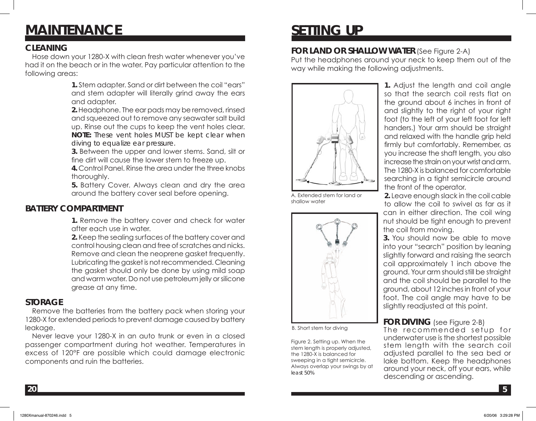# **MAINTENANCE**

#### **CLEANING**

 Hose down your 1280-X with clean fresh water whenever you've had it on the beach or in the water. Pay particular attention to the following areas:

> **1.** Stem adapter. Sand or dirt between the coil "ears" and stem adapter will literally grind away the ears and adapter.

> **2.** Headphone. The ear pads may be removed, rinsed and squeezed out to remove any seawater salt build up. Rinse out the cups to keep the vent holes clear. *NOTE: These vent holes MUST be kept clear when diving to equalize ear pressure.*

> **3.** Between the upper and lower stems. Sand, silt or fine dirt will cause the lower stem to freeze up.

> **4.** Control Panel. Rinse the area under the three knobs thoroughly.

> **5.** Battery Cover. Always clean and dry the area around the battery cover seal before opening.

### **BATTERY COMPARTMENT**

**1.** Remove the battery cover and check for water after each use in water.

**2.** Keep the sealing surfaces of the battery cover and control housing clean and free of scratches and nicks. Remove and clean the neoprene gasket frequently. Lubricating the gasket is not recommended. Cleaning the gasket should only be done by using mild soap and warm water. Do not use petroleum jelly or silicone grease at any time.

#### **STORAGE**

 Remove the batteries from the battery pack when storing your 1280-X for extended periods to prevent damage caused by battery leakage.

 Never leave your 1280-X in an auto trunk or even in a closed passenger compartment during hot weather. Temperatures in excess of 120°F are possible which could damage electronic components and ruin the batteries.

# **SETTING UP**

#### **FOR LAND OR SHALLOW WATER** (See Figure 2-A)

Put the headphones around your neck to keep them out of the way while making the following adjustments.



A. Extended stem for land or shallow water



B. Short stem for diving

Figure 2. Setting up. When the stem length is properly adjusted, the 1280-X is balanced for sweeping in a tight semicircle. Always overlap your swings by at least 50%

**1.** Adjust the length and coil angle so that the search coil rests flat on the ground about 6 inches in front of and slightly to the right of your right foot (to the left of your left foot for left handers.) Your arm should be straight and relaxed with the handle grip held firmly but comfortably. Remember, as you increase the shaft length, you also increase the strain on your wrist and arm. The 1280-X is balanced for comfortable searching in a tight semicircle around the front of the operator.

**2.** Leave enough slack in the coil cable to allow the coil to swivel as far as it can in either direction. The coil wing nut should be tight enough to prevent the coil from moving.

**3.** You should now be able to move into your "search" position by leaning slightly forward and raising the search coil approximately 1 inch above the ground. Your arm should still be straight and the coil should be parallel to the ground, about 12 inches in front of your foot. The coil angle may have to be slightly readjusted at this point.

#### **FOR DIVING** (see Figure 2-B)

The recommended setup for underwater use is the shortest possible stem length with the search coil adjusted parallel to the sea bed or lake bottom. Keep the headphones around your neck, off your ears, while descending or ascending.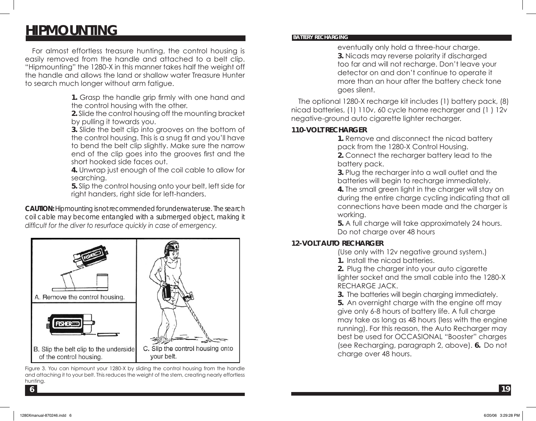### **HIPMOUNTING**

 For almost effortless treasure hunting, the control housing is easily removed from the handle and attached to a belt clip. "Hipmounting" the 1280-X in this manner takes half the weight off the handle and allows the land or shallow water Treasure Hunter to search much longer without arm fatigue.

> **1.** Grasp the handle grip firmly with one hand and the control housing with the other.

> **2.** Slide the control housing off the mounting bracket by pulling it towards you.

**3.** Slide the belt clip into grooves on the bottom of the control housing. This is a snug fit and you'll have to bend the belt clip slightly. Make sure the narrow end of the clip goes into the grooves first and the short hooked side faces out.

**4.** Unwrap just enough of the coil cable to allow for searching.

**5.** Slip the control housing onto your belt, left side for right handers, right side for left-handers.

*CAUTION: Hipmounting is not recommended for underwater use. The search coil cable may become entangled with a submerged object, making it difficult for the diver to resurface quickly in case of emergency.*



Figure 3. You can hipmount your 1280-X by sliding the control housing from the handle and attaching it to your belt. This reduces the weight of the stem, creating nearly effortless hunting.

#### **BATTERY RECHARGING**

eventually only hold a three-hour charge. **3.** Nicads may reverse polarity if discharged too far and will not recharge. Don't leave your detector on and don't continue to operate it more than an hour after the battery check tone goes silent.

 The optional 1280-X recharge kit includes (1) battery pack, (8) nicad batteries, (1) 110v, 60 cycle home recharger and (1 ) 12v negative-ground auto cigarette lighter recharger.

#### **110-VOLT RECHARGER**

**1.** Remove and disconnect the nicad battery pack from the 1280-X Control Housing. **2.** Connect the recharger battery lead to the

battery pack.

**3.** Plug the recharger into a wall outlet and the batteries will begin to recharge immediately.

**4.** The small green light in the charger will stay on during the entire charge cycling indicating that all connections have been made and the charger is working.

**5.** A full charge will take approximately 24 hours. Do not charge over 48 hours

#### **12-VOLT AUTO RECHARGER**

(Use only with 12v negative ground system.) **1.** Install the nicad batteries.

**2.** Plug the charger into your auto cigarette lighter socket and the small cable into the 1280-X RECHARGE JACK.

**3.** The batteries will begin charging immediately. **5.** An overnight charge with the engine off may give only 6-8 hours of battery life. A full charge may take as long as 48 hours (less with the engine running). For this reason, the Auto Recharger may best be used for OCCASIONAL "Booster" charges (see Recharging, paragraph 2, above). **6.** Do not charge over 48 hours.

**6**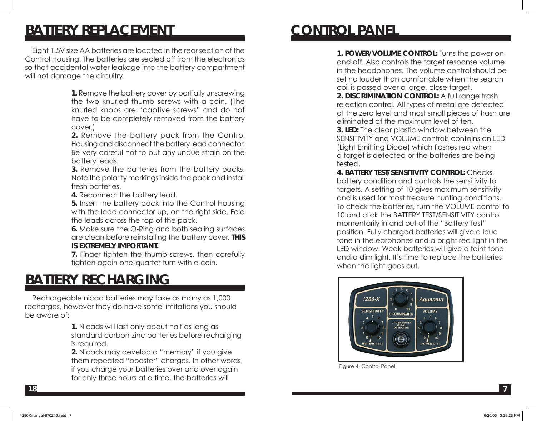### **BATTERY REPLACEMENT**

 Eight 1.5V size AA batteries are located in the rear section of the Control Housing. The batteries are sealed off from the electronics so that accidental water leakage into the battery compartment will not damage the circuitry.

> **1.** Remove the battery cover by partially unscrewing the two knurled thumb screws with a coin. (The knurled knobs are "captive screws" and do not have to be completely removed from the battery cover.)

> **2.** Remove the battery pack from the Control Housing and disconnect the battery lead connector. Be very careful not to put any undue strain on the battery leads.

> **3.** Remove the batteries from the battery packs. Note the polarity markings inside the pack and install fresh batteries.

**4.** Reconnect the battery lead.

**5.** Insert the battery pack into the Control Housing with the lead connector up, on the right side. Fold the leads across the top of the pack.

**6.** Make sure the O-Ring and both sealing surfaces are clean before reinstalling the battery cover. **THIS IS EXTREMELY IMPORTANT.** 

**7.** Finger tighten the thumb screws, then carefully tighten again one-quarter turn with a coin.

### **BATTERY RECHARGING**

 Rechargeable nicad batteries may take as many as 1,000 recharges, however they do have some limitations you should be aware of:

> **1.** Nicads will last only about half as long as standard carbon-zinc batteries before recharging is required.

> **2.** Nicads may develop a "memory" if you give them repeated "booster" charges. In other words, if you charge your batteries over and over again for only three hours at a time, the batteries will

## **CONTROL PANEL**

**1. POWER/VOLUME CONTROL:** Turns the power on and off. Also controls the target response volume in the headphones. The volume control should be set no louder than comfortable when the search coil is passed over a large, close target.

**2. DISCRIMINATION CONTROL:** A full range trash rejection control. All types of metal are detected at the zero level and most small pieces of trash are eliminated at the maximum level of ten.

**3. LED:** The clear plastic window between the SENSITIVITY and VOLUME controls contains an LED (Light Emitting Diode) which flashes red when a target is detected or the batteries are being tested.

**4. BATTERY TEST/SENSITIVITY CONTROL:** Checks battery condition and controls the sensitivity to targets. A setting of 10 gives maximum sensitivity and is used for most treasure hunting conditions. To check the batteries, turn the VOLUME control to 10 and click the BATTERY TEST/SENSITIVITY control momentarily in and out of the "Battery Test" position. Fully charged batteries will give a loud tone in the earphones and a bright red light in the LED window. Weak batteries will give a faint tone and a dim light. It's time to replace the batteries when the light goes out.



Figure 4. Control Panel

**18**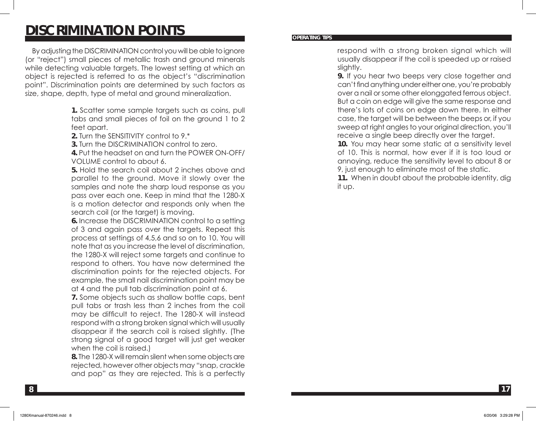### **DISCRIMINATION POINTS**

 By adjusting the DISCRIMINATION control you will be able to ignore (or "reject") small pieces of metallic trash and ground minerals while detecting valuable targets. The lowest setting at which an object is rejected is referred to as the object's "discrimination point". Discrimination points are determined by such factors as size, shape, depth, type of metal and ground mineralization.

> **1.** Scatter some sample targets such as coins, pull tabs and small pieces of foil on the ground 1 to 2 feet apart.

**2.** Turn the SENSITIVITY control to 9.\*

**3.** Turn the DISCRIMINATION control to zero.

**4.** Put the headset on and turn the POWER ON-OFF/ VOLUME control to about 6.

**5.** Hold the search coil about 2 inches above and parallel to the ground. Move it slowly over the samples and note the sharp loud response as you pass over each one. Keep in mind that the 1280-X is a motion detector and responds only when the search coil (or the target) is moving.

**6.** Increase the DISCRIMINATION control to a setting of 3 and again pass over the targets. Repeat this process at settings of 4,5,6 and so on to 10. You will note that as you increase the level of discrimination, the 1280-X will reject some targets and continue to respond to others. You have now determined the discrimination points for the rejected objects. For example, the small nail discrimination point may be at 4 and the pull tab discrimination point at 6.

**7.** Some objects such as shallow bottle caps, bent pull tabs or trash less than 2 inches from the coil may be difficult to reject. The 1280-X will instead respond with a strong broken signal which will usually disappear if the search coil is raised slightly. (The strong signal of a good target will just get weaker when the coil is raised.)

**8.** The 1280-X will remain silent when some objects are rejected, however other objects may "snap, crackle and pop" as they are rejected. This is a perfectly

#### **OPERATING TIPS**

respond with a strong broken signal which will usually disappear if the coil is speeded up or raised slightly.

**9.** If you hear two beeps very close together and can't find anything under either one, you're probably over a nail or some other elonggated ferrous object. But a coin on edge will give the same response and there's lots of coins on edge down there. In either case, the target will be between the beeps or, if you sweep at right angles to your original direction, you'll receive a single beep directly over the target.

**10.** You may hear some static at a sensitivity level of 10. This is normal, how ever if it is too loud or annoying, reduce the sensitivity level to about 8 or 9, just enough to eliminate most of the static.

**11.** When in doubt about the probable identity, dig it up.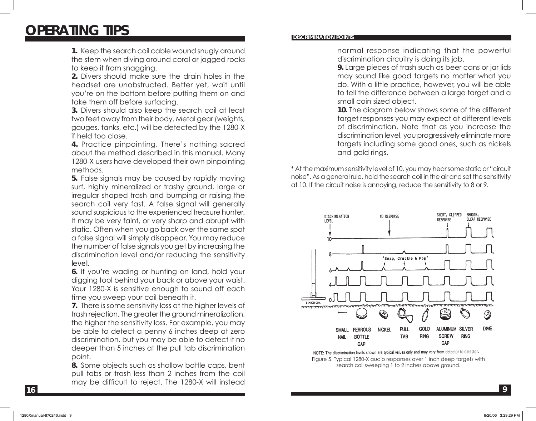### **OPERATING TIPS**

**1.** Keep the search coil cable wound snugly around the stem when diving around coral or jagged rocks to keep it from snagging.

**2.** Divers should make sure the drain holes in the headset are unobstructed. Better yet, wait until you're on the bottom before putting them on and take them off before surfacing.

**3.** Divers should also keep the search coil at least two feet away from their body. Metal gear (weights, gauges, tanks, etc.) will be detected by the 1280-X if held too close.

**4.** Practice pinpointing. There's nothing sacred about the method described in this manual. Many 1280-X users have developed their own pinpointing methods.

**5.** False signals may be caused by rapidly moving surf, highly mineralized or trashy ground, large or irregular shaped trash and bumping or raising the search coil very fast. A false signal will generally sound suspicious to the experienced treasure hunter. It may be very faint, or very sharp and abrupt with static. Often when you go back over the same spot a false signal will simply disappear. You may reduce the number of false signals you get by increasing the discrimination level and/or reducing the sensitivity level.

**6.** If you're wading or hunting on land, hold your digging tool behind your back or above your waist. Your 1280-X is sensitive enough to sound off each time you sweep your coil beneath it.

**7.** There is some sensitivity loss at the higher levels of trash rejection. The greater the ground mineralization, the higher the sensitivity loss. For example, you may be able to detect a penny 6 inches deep at zero discrimination, but you may be able to detect it no deeper than 5 inches at the pull tab discrimination point.

**8.** Some objects such as shallow bottle caps, bent pull tabs or trash less than 2 inches from the coil may be difficult to reject. The 1280-X will instead

#### **DISCRIMINATION POINTS**

normal response indicating that the powerful discrimination circuitry is doing its job.

**9.** Large pieces of trash such as beer cans or jar lids may sound like good targets no matter what you do. With a little practice, however, you will be able to tell the difference between a large target and a small coin sized object.

**10.** The diagram below shows some of the different target responses you may expect at different levels of discrimination. Note that as you increase the discrimination level, you progressively eliminate more targets including some good ones, such as nickels and gold rings.

\* At the maximum sensitivity level of 10, you may hear some static or "circuit noise". As a general rule, hold the search coil in the air and set the sensitivity at 10. If the circuit noise is annoying, reduce the sensitivity to 8 or 9.



NOTE: The discrimination levels shown are typical values only and may vary from detector to detector. Figure 5. Typical 1280-X audio responses over 1 inch deep targets with search coil sweeping 1 to 2 inches above ground.

**16**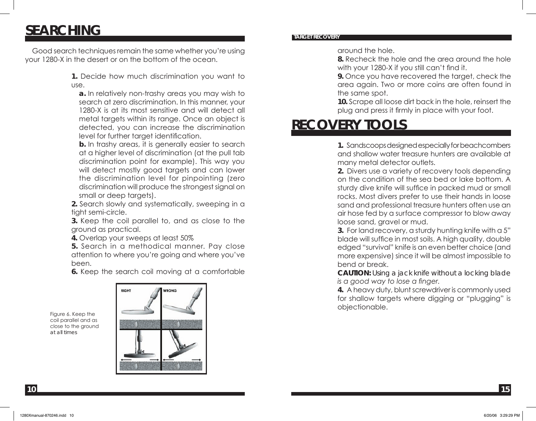### **SEARCHING**

 Good search techniques remain the same whether you're using your 1280-X in the desert or on the bottom of the ocean.

> **1.** Decide how much discrimination you want to use.

**a.** In relatively non-trashy areas you may wish to search at zero discrimination. In this manner, your 1280-X is at its most sensitive and will detect all metal targets within its range. Once an object is detected, you can increase the discrimination level for further target identification.

**b.** In trashy areas, it is generally easier to search at a higher level of discrimination (at the pull tab discrimination point for example). This way you will detect mostly good targets and can lower the discrimination level for pinpointing (zero discrimination will produce the strongest signal on small or deep targets).

**2.** Search slowly and systematically, sweeping in a tight semi-circle.

**3.** Keep the coil parallel to, and as close to the ground as practical.

**4.** Overlap your sweeps at least 50%

**5.** Search in a methodical manner. Pay close attention to where you're going and where you've been.

**6.** Keep the search coil moving at a comfortable

**TARGET RECOVERY**

around the hole.

**8.** Recheck the hole and the area around the hole with your 1280-X if you still can't find it.

**9.** Once you have recovered the target, check the area again. Two or more coins are often found in the same spot.

**10.** Scrape all loose dirt back in the hole, reinsert the plug and press it firmly in place with your foot.

## **RECOVERY TOOLS**

**1.** Sandscoops designed especially for beachcombers and shallow water treasure hunters are available at many metal detector outlets.

**2.** Divers use a variety of recovery tools depending on the condition of the sea bed or lake bottom. A sturdy dive knife will suffice in packed mud or small rocks. Most divers prefer to use their hands in loose sand and professional treasure hunters often use an air hose fed by a surface compressor to blow away loose sand, gravel or mud.

**3.** For land recovery, a sturdy hunting knife with a 5" blade will suffice in most soils. A high quality, double edged "survival" knife is an even better choice (and more expensive) since it will be almost impossible to bend or break.

*CAUTION: Using a jack knife without a locking blade is a good way to lose a finger.* 

**4.** A heavy duty, blunt screwdriver is commonly used for shallow targets where digging or "plugging" is objectionable.

Figure 6. Keep the coil parallel and as close to the ground at all times

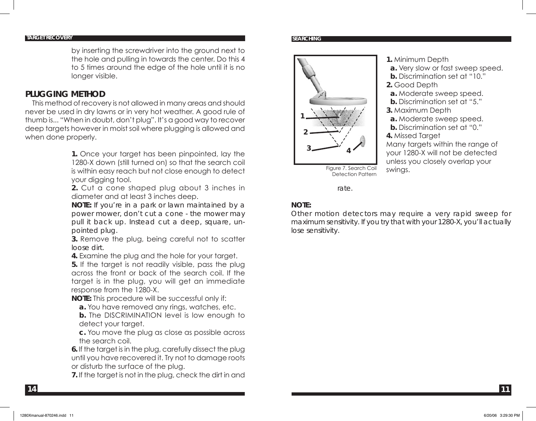#### **TARGET RECOVERY**

by inserting the screwdriver into the ground next to the hole and pulling in towards the center. Do this 4 to 5 times around the edge of the hole until it is no longer visible.

#### **PLUGGING METHOD**

 This method of recovery is not allowed in many areas and should never be used in dry lawns or in very hot weather. A good rule of thumb is... "When in doubt, don't plug". It's a good way to recover deep targets however in moist soil where plugging is allowed and when done properly.

> **1.** Once your target has been pinpointed, lay the 1280-X down (still turned on) so that the search coil is within easy reach but not close enough to detect your digging tool.

> **2.** Cut a cone shaped plug about 3 inches in diameter and at least 3 inches deep.

> *NOTE: If you're in a park or lawn maintained by a power mower, don't cut a cone - the mower may pull it back up. Instead cut a deep, square, unpointed plug.*

> **3.** Remove the plug, being careful not to scatter loose dirt.

**4.** Examine the plug and the hole for your target.

**5.** If the target is not readily visible, pass the plug across the front or back of the search coil. If the target is in the plug, you will get an immediate response from the 1280-X.

**NOTE:** This procedure will be successful only if:

**a.** You have removed any rings, watches, etc.

**b.** The DISCRIMINATION level is low enough to detect your target.

**c.** You move the plug as close as possible across the search coil.

**6.** If the target is in the plug, carefully dissect the plug until you have recovered it. Try not to damage roots or disturb the surface of the plug.

**7.** If the target is not in the plug, check the dirt in and

#### **SEARCHING**



- **1.** Minimum Depth
- **a.** Very slow or fast sweep speed.
- **b.** Discrimination set at "10."
- **2.** Good Depth
- **a.** Moderate sweep speed.
- **b.** Discrimination set at "5."
- **3.** Maximum Depth
- **a.** Moderate sweep speed.
- **b.** Discrimination set at "0."
- **4.** Missed Target

Many targets within the range of your 1280-X will not be detected unless you closely overlap your swings.

Figure 7. Search Coil Detection Pattern

#### rate.

#### *NOTE:*

*Other motion detectors may require a very rapid sweep for maximum sensitivity. If you try that with your 1280-X, you'll actually lose sensitivity.*